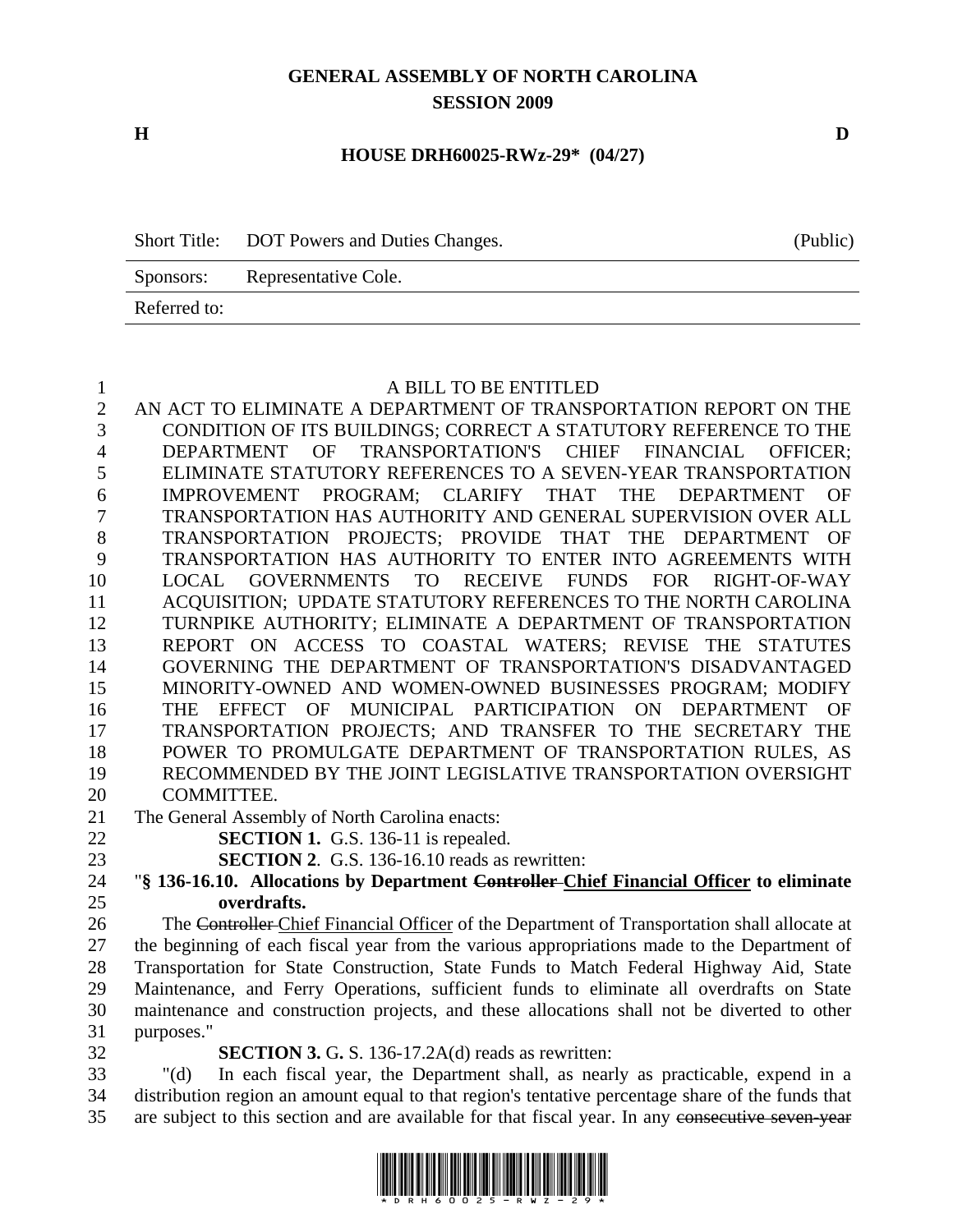## **GENERAL ASSEMBLY OF NORTH CAROLINA SESSION 2009**

**H D** 

### **HOUSE DRH60025-RWz-29\* (04/27)**

|              | Short Title: DOT Powers and Duties Changes. | (Public) |
|--------------|---------------------------------------------|----------|
| Sponsors:    | Representative Cole.                        |          |
| Referred to: |                                             |          |

#### 1 A BILL TO BE ENTITLED

2 AN ACT TO ELIMINATE A DEPARTMENT OF TRANSPORTATION REPORT ON THE 3 CONDITION OF ITS BUILDINGS; CORRECT A STATUTORY REFERENCE TO THE 4 DEPARTMENT OF TRANSPORTATION'S CHIEF FINANCIAL OFFICER; 5 ELIMINATE STATUTORY REFERENCES TO A SEVEN-YEAR TRANSPORTATION 6 IMPROVEMENT PROGRAM; CLARIFY THAT THE DEPARTMENT OF 7 TRANSPORTATION HAS AUTHORITY AND GENERAL SUPERVISION OVER ALL 8 TRANSPORTATION PROJECTS; PROVIDE THAT THE DEPARTMENT OF 9 TRANSPORTATION HAS AUTHORITY TO ENTER INTO AGREEMENTS WITH 10 LOCAL GOVERNMENTS TO RECEIVE FUNDS FOR RIGHT-OF-WAY 11 ACQUISITION; UPDATE STATUTORY REFERENCES TO THE NORTH CAROLINA 12 TURNPIKE AUTHORITY; ELIMINATE A DEPARTMENT OF TRANSPORTATION 13 REPORT ON ACCESS TO COASTAL WATERS; REVISE THE STATUTES 14 GOVERNING THE DEPARTMENT OF TRANSPORTATION'S DISADVANTAGED 15 MINORITY-OWNED AND WOMEN-OWNED BUSINESSES PROGRAM; MODIFY 16 THE EFFECT OF MUNICIPAL PARTICIPATION ON DEPARTMENT OF 17 TRANSPORTATION PROJECTS; AND TRANSFER TO THE SECRETARY THE 18 POWER TO PROMULGATE DEPARTMENT OF TRANSPORTATION RULES, AS 19 RECOMMENDED BY THE JOINT LEGISLATIVE TRANSPORTATION OVERSIGHT 20 COMMITTEE. 21 The General Assembly of North Carolina enacts: 22 **SECTION 1.** G.S. 136-11 is repealed. 23 **SECTION 2**. G.S. 136-16.10 reads as rewritten: 24 "**§ 136-16.10. Allocations by Department Controller Chief Financial Officer to eliminate**  25 **overdrafts.**  26 The Controller Chief Financial Officer of the Department of Transportation shall allocate at 27 the beginning of each fiscal year from the various appropriations made to the Department of 28 Transportation for State Construction, State Funds to Match Federal Highway Aid, State 29 Maintenance, and Ferry Operations, sufficient funds to eliminate all overdrafts on State

31 purposes."

32 **SECTION 3.** G**.** S. 136-17.2A(d) reads as rewritten:

33 "(d) In each fiscal year, the Department shall, as nearly as practicable, expend in a 34 distribution region an amount equal to that region's tentative percentage share of the funds that 35 are subject to this section and are available for that fiscal year. In any consecutive seven-year

30 maintenance and construction projects, and these allocations shall not be diverted to other

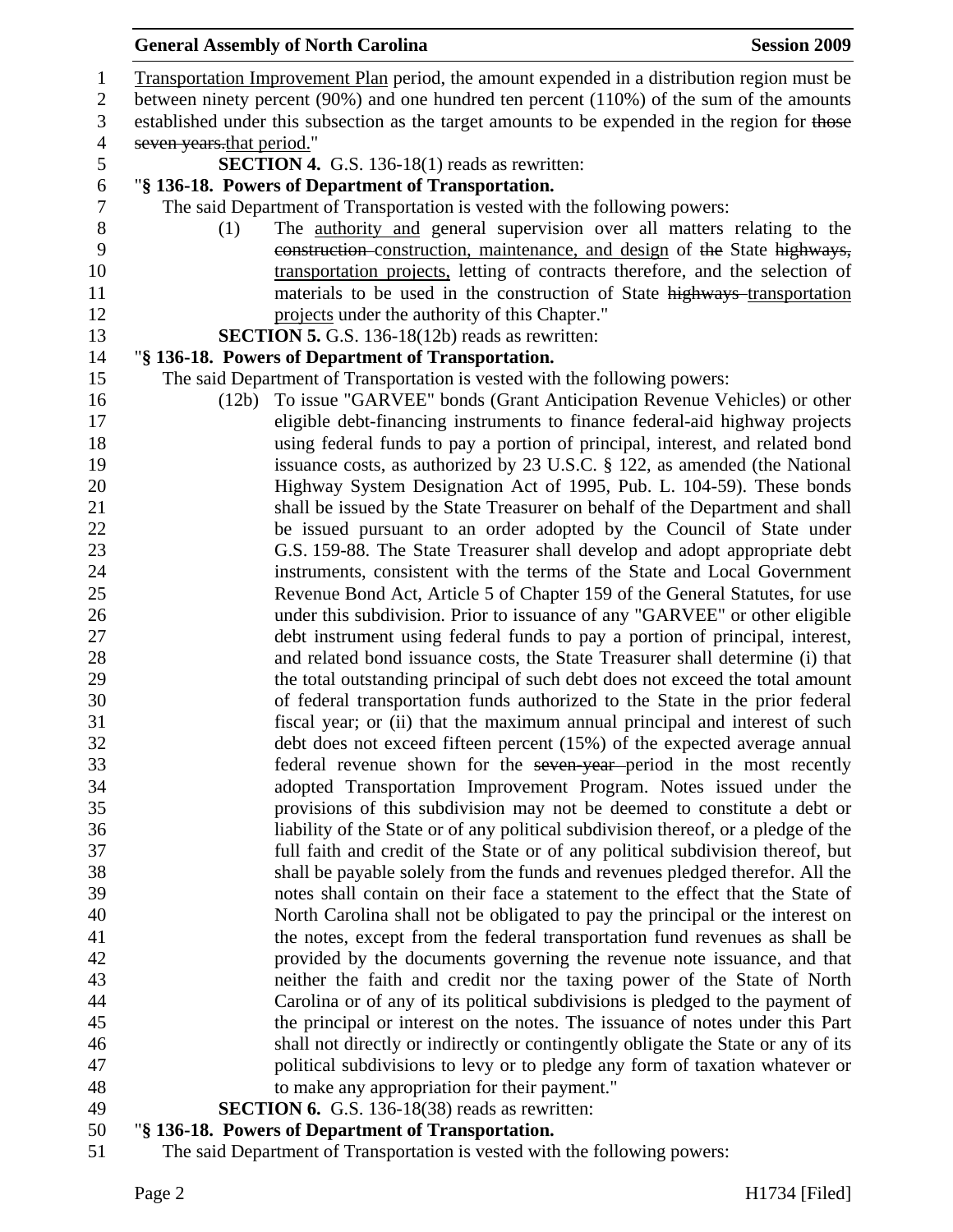# General Assembly of North Carolina **Session 2009**

| $\mathbf{1}$<br>$\overline{c}$            | Transportation Improvement Plan period, the amount expended in a distribution region must be<br>between ninety percent (90%) and one hundred ten percent (110%) of the sum of the amounts |  |  |
|-------------------------------------------|-------------------------------------------------------------------------------------------------------------------------------------------------------------------------------------------|--|--|
| 3                                         | established under this subsection as the target amounts to be expended in the region for those                                                                                            |  |  |
| $\overline{4}$                            | seven years that period."                                                                                                                                                                 |  |  |
| 5                                         | <b>SECTION 4.</b> G.S. 136-18(1) reads as rewritten:                                                                                                                                      |  |  |
| 6                                         | "§ 136-18. Powers of Department of Transportation.                                                                                                                                        |  |  |
| 7                                         | The said Department of Transportation is vested with the following powers:                                                                                                                |  |  |
| $8\,$                                     | The authority and general supervision over all matters relating to the<br>(1)                                                                                                             |  |  |
| 9                                         | construction-construction, maintenance, and design of the State highways,                                                                                                                 |  |  |
| 10                                        | transportation projects, letting of contracts therefore, and the selection of                                                                                                             |  |  |
| 11                                        | materials to be used in the construction of State highways transportation                                                                                                                 |  |  |
| 12                                        | projects under the authority of this Chapter."                                                                                                                                            |  |  |
| 13                                        | <b>SECTION 5.</b> G.S. 136-18(12b) reads as rewritten:                                                                                                                                    |  |  |
| 14                                        | "§ 136-18. Powers of Department of Transportation.                                                                                                                                        |  |  |
| 15                                        | The said Department of Transportation is vested with the following powers:                                                                                                                |  |  |
| 16                                        | To issue "GARVEE" bonds (Grant Anticipation Revenue Vehicles) or other<br>(12b)                                                                                                           |  |  |
| 17                                        | eligible debt-financing instruments to finance federal-aid highway projects                                                                                                               |  |  |
| 18                                        | using federal funds to pay a portion of principal, interest, and related bond                                                                                                             |  |  |
| 19                                        | issuance costs, as authorized by 23 U.S.C. § 122, as amended (the National                                                                                                                |  |  |
| 20                                        | Highway System Designation Act of 1995, Pub. L. 104-59). These bonds                                                                                                                      |  |  |
| 21                                        | shall be issued by the State Treasurer on behalf of the Department and shall                                                                                                              |  |  |
| 22                                        | be issued pursuant to an order adopted by the Council of State under                                                                                                                      |  |  |
| 23                                        | G.S. 159-88. The State Treasurer shall develop and adopt appropriate debt                                                                                                                 |  |  |
| 24                                        | instruments, consistent with the terms of the State and Local Government                                                                                                                  |  |  |
| 25                                        | Revenue Bond Act, Article 5 of Chapter 159 of the General Statutes, for use                                                                                                               |  |  |
| 26                                        | under this subdivision. Prior to issuance of any "GARVEE" or other eligible                                                                                                               |  |  |
| 27                                        | debt instrument using federal funds to pay a portion of principal, interest,                                                                                                              |  |  |
| 28                                        | and related bond issuance costs, the State Treasurer shall determine (i) that                                                                                                             |  |  |
| 29                                        | the total outstanding principal of such debt does not exceed the total amount                                                                                                             |  |  |
| 30                                        | of federal transportation funds authorized to the State in the prior federal                                                                                                              |  |  |
| 31                                        | fiscal year; or (ii) that the maximum annual principal and interest of such                                                                                                               |  |  |
| 32                                        | debt does not exceed fifteen percent (15%) of the expected average annual                                                                                                                 |  |  |
| 33                                        | federal revenue shown for the seven-year-period in the most recently                                                                                                                      |  |  |
| 34                                        | adopted Transportation Improvement Program. Notes issued under the                                                                                                                        |  |  |
| 35                                        | provisions of this subdivision may not be deemed to constitute a debt or                                                                                                                  |  |  |
| 36                                        | liability of the State or of any political subdivision thereof, or a pledge of the                                                                                                        |  |  |
| 37<br>38                                  | full faith and credit of the State or of any political subdivision thereof, but<br>shall be payable solely from the funds and revenues pledged therefor. All the                          |  |  |
| 39                                        | notes shall contain on their face a statement to the effect that the State of                                                                                                             |  |  |
| 40                                        | North Carolina shall not be obligated to pay the principal or the interest on                                                                                                             |  |  |
| 41                                        | the notes, except from the federal transportation fund revenues as shall be                                                                                                               |  |  |
| 42                                        | provided by the documents governing the revenue note issuance, and that                                                                                                                   |  |  |
| 43                                        | neither the faith and credit nor the taxing power of the State of North                                                                                                                   |  |  |
| 44                                        | Carolina or of any of its political subdivisions is pledged to the payment of                                                                                                             |  |  |
| 45                                        | the principal or interest on the notes. The issuance of notes under this Part                                                                                                             |  |  |
| 46                                        | shall not directly or indirectly or contingently obligate the State or any of its                                                                                                         |  |  |
| 47                                        | political subdivisions to levy or to pledge any form of taxation whatever or                                                                                                              |  |  |
| 48                                        | to make any appropriation for their payment."                                                                                                                                             |  |  |
| 49                                        | <b>SECTION 6.</b> G.S. 136-18(38) reads as rewritten:                                                                                                                                     |  |  |
| $\epsilon$ <sup><math>\alpha</math></sup> | $\mathbf{F} \mathbf{D}$ and a set of set of $\mathbf{F}$ $\mathbf{D}$ and a set of $\mathbf{F}$                                                                                           |  |  |

## 50 "**§ 136-18. Powers of Department of Transportation.**

51 The said Department of Transportation is vested with the following powers: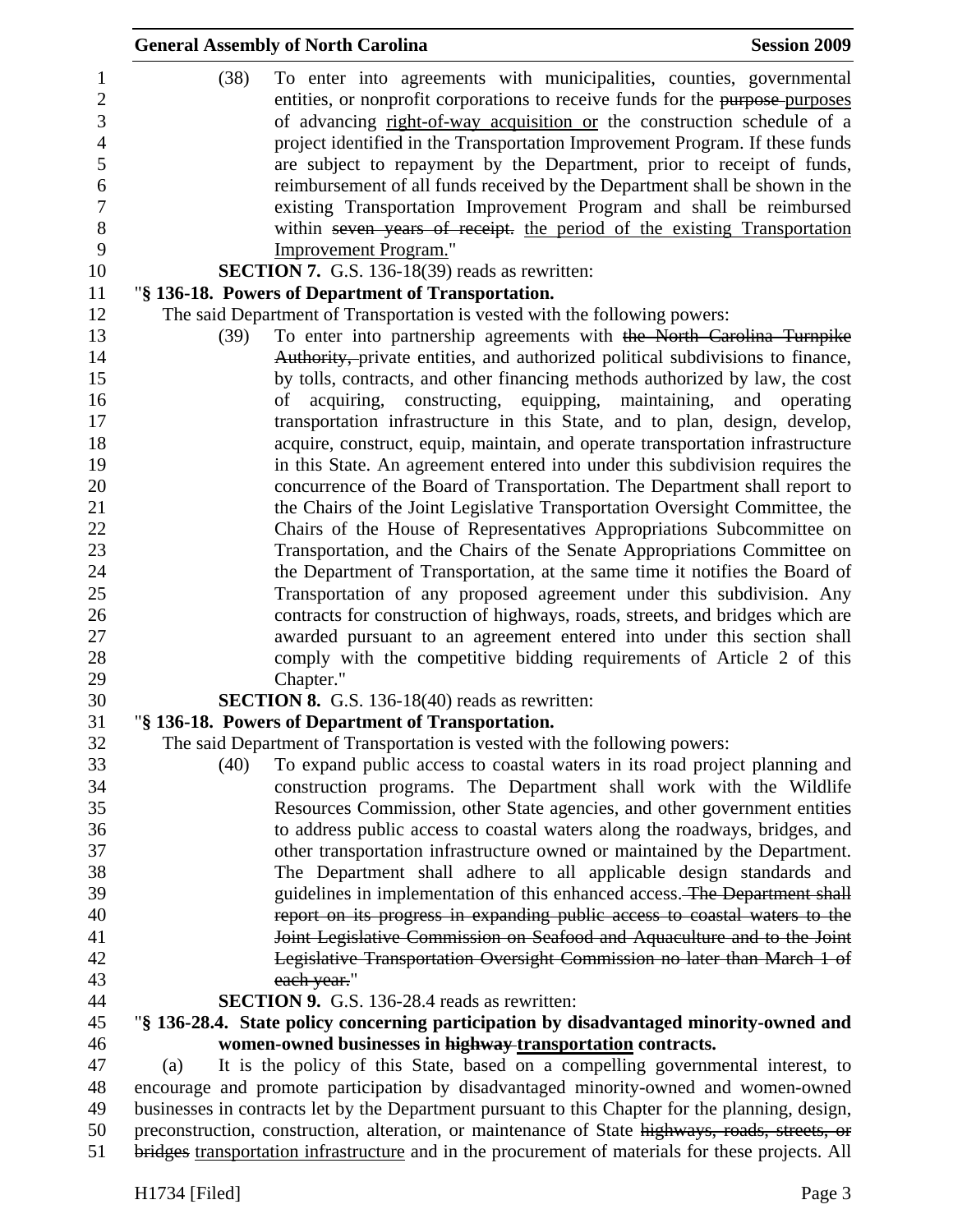|      | <b>General Assembly of North Carolina</b>                                                                                                                                                                                                                                                                                                                                                                                                                                                                                                                                                                                                                                                                                                                                                                                                                                                                                                                                                                                                                                                                                      | <b>Session 2009</b> |
|------|--------------------------------------------------------------------------------------------------------------------------------------------------------------------------------------------------------------------------------------------------------------------------------------------------------------------------------------------------------------------------------------------------------------------------------------------------------------------------------------------------------------------------------------------------------------------------------------------------------------------------------------------------------------------------------------------------------------------------------------------------------------------------------------------------------------------------------------------------------------------------------------------------------------------------------------------------------------------------------------------------------------------------------------------------------------------------------------------------------------------------------|---------------------|
| (38) | To enter into agreements with municipalities, counties, governmental<br>entities, or nonprofit corporations to receive funds for the purpose-purposes<br>of advancing right-of-way acquisition or the construction schedule of a<br>project identified in the Transportation Improvement Program. If these funds<br>are subject to repayment by the Department, prior to receipt of funds,<br>reimbursement of all funds received by the Department shall be shown in the<br>existing Transportation Improvement Program and shall be reimbursed<br>within seven years of receipt. the period of the existing Transportation<br><b>Improvement Program."</b><br><b>SECTION 7.</b> G.S. 136-18(39) reads as rewritten:                                                                                                                                                                                                                                                                                                                                                                                                          |                     |
|      | "§ 136-18. Powers of Department of Transportation.                                                                                                                                                                                                                                                                                                                                                                                                                                                                                                                                                                                                                                                                                                                                                                                                                                                                                                                                                                                                                                                                             |                     |
|      | The said Department of Transportation is vested with the following powers:                                                                                                                                                                                                                                                                                                                                                                                                                                                                                                                                                                                                                                                                                                                                                                                                                                                                                                                                                                                                                                                     |                     |
| (39) | To enter into partnership agreements with the North Carolina Turnpike<br>Authority, private entities, and authorized political subdivisions to finance,                                                                                                                                                                                                                                                                                                                                                                                                                                                                                                                                                                                                                                                                                                                                                                                                                                                                                                                                                                        |                     |
|      | by tolls, contracts, and other financing methods authorized by law, the cost<br>acquiring, constructing, equipping, maintaining, and operating<br>of<br>transportation infrastructure in this State, and to plan, design, develop,<br>acquire, construct, equip, maintain, and operate transportation infrastructure<br>in this State. An agreement entered into under this subdivision requires the<br>concurrence of the Board of Transportation. The Department shall report to<br>the Chairs of the Joint Legislative Transportation Oversight Committee, the<br>Chairs of the House of Representatives Appropriations Subcommittee on<br>Transportation, and the Chairs of the Senate Appropriations Committee on<br>the Department of Transportation, at the same time it notifies the Board of<br>Transportation of any proposed agreement under this subdivision. Any<br>contracts for construction of highways, roads, streets, and bridges which are<br>awarded pursuant to an agreement entered into under this section shall<br>comply with the competitive bidding requirements of Article 2 of this<br>Chapter." |                     |
|      | <b>SECTION 8.</b> G.S. 136-18(40) reads as rewritten:                                                                                                                                                                                                                                                                                                                                                                                                                                                                                                                                                                                                                                                                                                                                                                                                                                                                                                                                                                                                                                                                          |                     |
|      | "§ 136-18. Powers of Department of Transportation.                                                                                                                                                                                                                                                                                                                                                                                                                                                                                                                                                                                                                                                                                                                                                                                                                                                                                                                                                                                                                                                                             |                     |
|      | The said Department of Transportation is vested with the following powers:                                                                                                                                                                                                                                                                                                                                                                                                                                                                                                                                                                                                                                                                                                                                                                                                                                                                                                                                                                                                                                                     |                     |
| (40) | To expand public access to coastal waters in its road project planning and<br>construction programs. The Department shall work with the Wildlife                                                                                                                                                                                                                                                                                                                                                                                                                                                                                                                                                                                                                                                                                                                                                                                                                                                                                                                                                                               |                     |
|      | Resources Commission, other State agencies, and other government entities<br>to address public access to coastal waters along the roadways, bridges, and                                                                                                                                                                                                                                                                                                                                                                                                                                                                                                                                                                                                                                                                                                                                                                                                                                                                                                                                                                       |                     |
|      | other transportation infrastructure owned or maintained by the Department.                                                                                                                                                                                                                                                                                                                                                                                                                                                                                                                                                                                                                                                                                                                                                                                                                                                                                                                                                                                                                                                     |                     |
|      | The Department shall adhere to all applicable design standards and                                                                                                                                                                                                                                                                                                                                                                                                                                                                                                                                                                                                                                                                                                                                                                                                                                                                                                                                                                                                                                                             |                     |
|      | guidelines in implementation of this enhanced access. The Department shall                                                                                                                                                                                                                                                                                                                                                                                                                                                                                                                                                                                                                                                                                                                                                                                                                                                                                                                                                                                                                                                     |                     |
|      | report on its progress in expanding public access to coastal waters to the                                                                                                                                                                                                                                                                                                                                                                                                                                                                                                                                                                                                                                                                                                                                                                                                                                                                                                                                                                                                                                                     |                     |
|      | Joint Legislative Commission on Seafood and Aquaculture and to the Joint                                                                                                                                                                                                                                                                                                                                                                                                                                                                                                                                                                                                                                                                                                                                                                                                                                                                                                                                                                                                                                                       |                     |
|      | Legislative Transportation Oversight Commission no later than March 1 of                                                                                                                                                                                                                                                                                                                                                                                                                                                                                                                                                                                                                                                                                                                                                                                                                                                                                                                                                                                                                                                       |                     |
|      | each year."                                                                                                                                                                                                                                                                                                                                                                                                                                                                                                                                                                                                                                                                                                                                                                                                                                                                                                                                                                                                                                                                                                                    |                     |
|      | <b>SECTION 9.</b> G.S. 136-28.4 reads as rewritten:                                                                                                                                                                                                                                                                                                                                                                                                                                                                                                                                                                                                                                                                                                                                                                                                                                                                                                                                                                                                                                                                            |                     |
|      | "§ 136-28.4. State policy concerning participation by disadvantaged minority-owned and                                                                                                                                                                                                                                                                                                                                                                                                                                                                                                                                                                                                                                                                                                                                                                                                                                                                                                                                                                                                                                         |                     |
|      | women-owned businesses in highway transportation contracts.                                                                                                                                                                                                                                                                                                                                                                                                                                                                                                                                                                                                                                                                                                                                                                                                                                                                                                                                                                                                                                                                    |                     |
| (a)  | It is the policy of this State, based on a compelling governmental interest, to                                                                                                                                                                                                                                                                                                                                                                                                                                                                                                                                                                                                                                                                                                                                                                                                                                                                                                                                                                                                                                                |                     |
|      | encourage and promote participation by disadvantaged minority-owned and women-owned                                                                                                                                                                                                                                                                                                                                                                                                                                                                                                                                                                                                                                                                                                                                                                                                                                                                                                                                                                                                                                            |                     |
|      | businesses in contracts let by the Department pursuant to this Chapter for the planning, design,                                                                                                                                                                                                                                                                                                                                                                                                                                                                                                                                                                                                                                                                                                                                                                                                                                                                                                                                                                                                                               |                     |
|      | preconstruction, construction, alteration, or maintenance of State highways, roads, streets, or<br>bridges transportation infrastructure and in the procurement of materials for these projects. All                                                                                                                                                                                                                                                                                                                                                                                                                                                                                                                                                                                                                                                                                                                                                                                                                                                                                                                           |                     |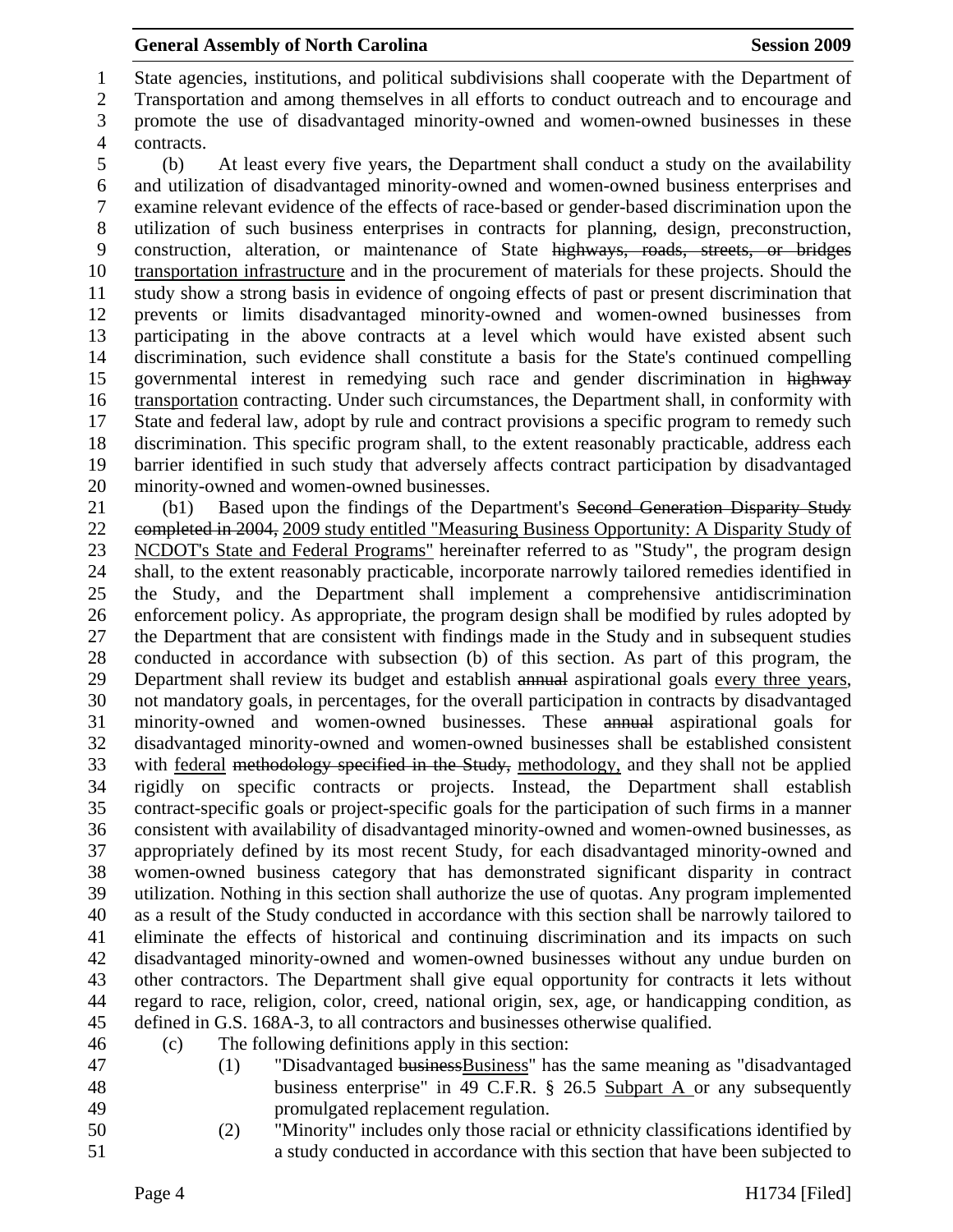1 State agencies, institutions, and political subdivisions shall cooperate with the Department of 2 Transportation and among themselves in all efforts to conduct outreach and to encourage and

3 promote the use of disadvantaged minority-owned and women-owned businesses in these 4 contracts.

5 (b) At least every five years, the Department shall conduct a study on the availability 6 and utilization of disadvantaged minority-owned and women-owned business enterprises and 7 examine relevant evidence of the effects of race-based or gender-based discrimination upon the 8 utilization of such business enterprises in contracts for planning, design, preconstruction, 9 construction, alteration, or maintenance of State highways, roads, streets, or bridges 10 transportation infrastructure and in the procurement of materials for these projects. Should the 11 study show a strong basis in evidence of ongoing effects of past or present discrimination that 12 prevents or limits disadvantaged minority-owned and women-owned businesses from 13 participating in the above contracts at a level which would have existed absent such 14 discrimination, such evidence shall constitute a basis for the State's continued compelling 15 governmental interest in remedying such race and gender discrimination in highway 16 transportation contracting. Under such circumstances, the Department shall, in conformity with 17 State and federal law, adopt by rule and contract provisions a specific program to remedy such 18 discrimination. This specific program shall, to the extent reasonably practicable, address each 19 barrier identified in such study that adversely affects contract participation by disadvantaged 20 minority-owned and women-owned businesses.

21 (b1) Based upon the findings of the Department's Second Generation Disparity Study 22 completed in 2004, 2009 study entitled "Measuring Business Opportunity: A Disparity Study of 23 NCDOT's State and Federal Programs" hereinafter referred to as "Study", the program design 24 shall, to the extent reasonably practicable, incorporate narrowly tailored remedies identified in 25 the Study, and the Department shall implement a comprehensive antidiscrimination 26 enforcement policy. As appropriate, the program design shall be modified by rules adopted by 27 the Department that are consistent with findings made in the Study and in subsequent studies 28 conducted in accordance with subsection (b) of this section. As part of this program, the 29 Department shall review its budget and establish annual aspirational goals every three years, 30 not mandatory goals, in percentages, for the overall participation in contracts by disadvantaged 31 minority-owned and women-owned businesses. These annual aspirational goals for 32 disadvantaged minority-owned and women-owned businesses shall be established consistent 33 with federal methodology specified in the Study, methodology, and they shall not be applied 34 rigidly on specific contracts or projects. Instead, the Department shall establish 35 contract-specific goals or project-specific goals for the participation of such firms in a manner 36 consistent with availability of disadvantaged minority-owned and women-owned businesses, as 37 appropriately defined by its most recent Study, for each disadvantaged minority-owned and 38 women-owned business category that has demonstrated significant disparity in contract 39 utilization. Nothing in this section shall authorize the use of quotas. Any program implemented 40 as a result of the Study conducted in accordance with this section shall be narrowly tailored to 41 eliminate the effects of historical and continuing discrimination and its impacts on such 42 disadvantaged minority-owned and women-owned businesses without any undue burden on 43 other contractors. The Department shall give equal opportunity for contracts it lets without 44 regard to race, religion, color, creed, national origin, sex, age, or handicapping condition, as 45 defined in G.S. 168A-3, to all contractors and businesses otherwise qualified.

- 
- 
- 

46 (c) The following definitions apply in this section:

- 47 (1) "Disadvantaged businessBusiness" has the same meaning as "disadvantaged 48 business enterprise" in 49 C.F.R. § 26.5 Subpart A or any subsequently 49 promulgated replacement regulation.
- 50 (2) "Minority" includes only those racial or ethnicity classifications identified by 51 a study conducted in accordance with this section that have been subjected to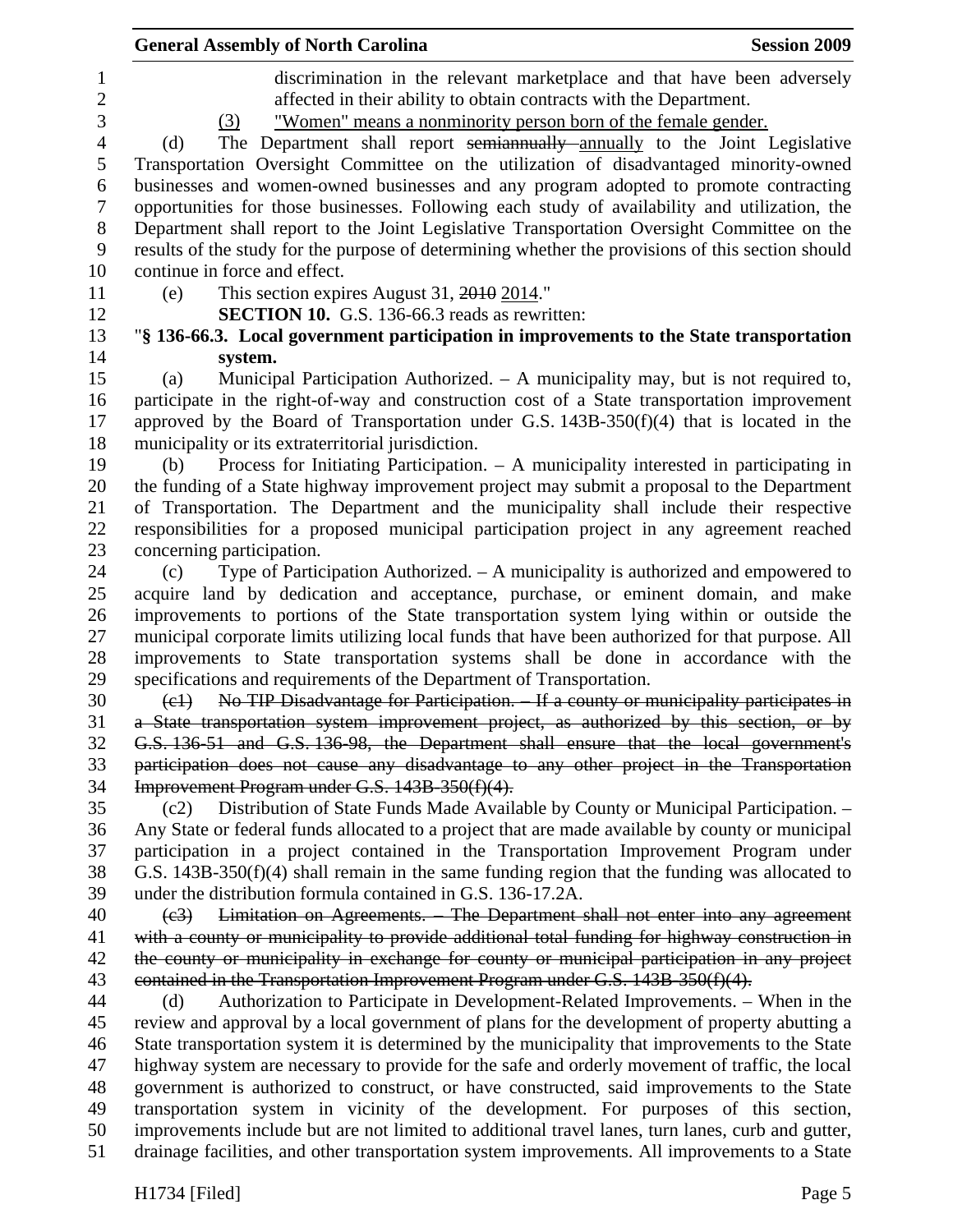|                          | <b>General Assembly of North Carolina</b><br><b>Session 2009</b>                                                                                                                                                      |
|--------------------------|-----------------------------------------------------------------------------------------------------------------------------------------------------------------------------------------------------------------------|
| 1<br>$\overline{2}$<br>3 | discrimination in the relevant marketplace and that have been adversely<br>affected in their ability to obtain contracts with the Department.<br>"Women" means a nonminority person born of the female gender.<br>(3) |
| $\overline{4}$           | The Department shall report semiannually annually to the Joint Legislative<br>(d)                                                                                                                                     |
| 5                        | Transportation Oversight Committee on the utilization of disadvantaged minority-owned                                                                                                                                 |
| 6<br>7                   | businesses and women-owned businesses and any program adopted to promote contracting<br>opportunities for those businesses. Following each study of availability and utilization, the                                 |
| 8                        | Department shall report to the Joint Legislative Transportation Oversight Committee on the                                                                                                                            |
| 9                        | results of the study for the purpose of determining whether the provisions of this section should                                                                                                                     |
| 10                       | continue in force and effect.                                                                                                                                                                                         |
| 11                       | This section expires August 31, 2010 2014."<br>(e)                                                                                                                                                                    |
| 12                       | SECTION 10. G.S. 136-66.3 reads as rewritten:                                                                                                                                                                         |
| 13                       | "§ 136-66.3. Local government participation in improvements to the State transportation                                                                                                                               |
| 14                       | system.                                                                                                                                                                                                               |
| 15                       | Municipal Participation Authorized. – A municipality may, but is not required to,<br>(a)                                                                                                                              |
| 16<br>17                 | participate in the right-of-way and construction cost of a State transportation improvement<br>approved by the Board of Transportation under G.S. $143B-350(f)(4)$ that is located in the                             |
| 18                       | municipality or its extraterritorial jurisdiction.                                                                                                                                                                    |
| 19                       | Process for Initiating Participation. - A municipality interested in participating in<br>(b)                                                                                                                          |
| 20<br>21                 | the funding of a State highway improvement project may submit a proposal to the Department<br>of Transportation. The Department and the municipality shall include their respective                                   |
| 22                       | responsibilities for a proposed municipal participation project in any agreement reached                                                                                                                              |
| 23                       | concerning participation.                                                                                                                                                                                             |
| 24                       | Type of Participation Authorized. – A municipality is authorized and empowered to<br>(c)                                                                                                                              |
| 25                       | acquire land by dedication and acceptance, purchase, or eminent domain, and make                                                                                                                                      |
| 26                       | improvements to portions of the State transportation system lying within or outside the                                                                                                                               |
| 27<br>28                 | municipal corporate limits utilizing local funds that have been authorized for that purpose. All<br>improvements to State transportation systems shall be done in accordance with the                                 |
| 29                       | specifications and requirements of the Department of Transportation.                                                                                                                                                  |
| 30                       | No TIP Disadvantage for Participation. - If a county or municipality participates in<br>$\left(\text{e}\right)$                                                                                                       |
| 31                       | a State transportation system improvement project, as authorized by this section, or by                                                                                                                               |
| 32                       | G.S. 136-51 and G.S. 136-98, the Department shall ensure that the local government's                                                                                                                                  |
| 33                       | participation does not cause any disadvantage to any other project in the Transportation                                                                                                                              |
| 34<br>35                 | Improvement Program under G.S. 143B-350(f)(4).<br>Distribution of State Funds Made Available by County or Municipal Participation. -<br>(c2)                                                                          |
| 36                       | Any State or federal funds allocated to a project that are made available by county or municipal                                                                                                                      |
| 37                       | participation in a project contained in the Transportation Improvement Program under                                                                                                                                  |
| 38                       | G.S. $143B-350(f)(4)$ shall remain in the same funding region that the funding was allocated to                                                                                                                       |
| 39                       | under the distribution formula contained in G.S. 136-17.2A.                                                                                                                                                           |
| 40                       | Limitation on Agreements. - The Department shall not enter into any agreement<br>(e3)                                                                                                                                 |
| 41                       | with a county or municipality to provide additional total funding for highway construction in                                                                                                                         |
| 42                       | the county or municipality in exchange for county or municipal participation in any project                                                                                                                           |
| 43                       | contained in the Transportation Improvement Program under G.S. 143B-350(f)(4).                                                                                                                                        |
| 44                       | Authorization to Participate in Development-Related Improvements. - When in the<br>(d)                                                                                                                                |
| 45                       | review and approval by a local government of plans for the development of property abutting a                                                                                                                         |
| 46                       | State transportation system it is determined by the municipality that improvements to the State                                                                                                                       |
| 47                       | highway system are necessary to provide for the safe and orderly movement of traffic, the local                                                                                                                       |
| 48<br>49                 | government is authorized to construct, or have constructed, said improvements to the State<br>transportation system in vicinity of the development. For purposes of this section,                                     |
| 50                       | improvements include but are not limited to additional travel lanes, turn lanes, curb and gutter,                                                                                                                     |
| 51                       | drainage facilities, and other transportation system improvements. All improvements to a State                                                                                                                        |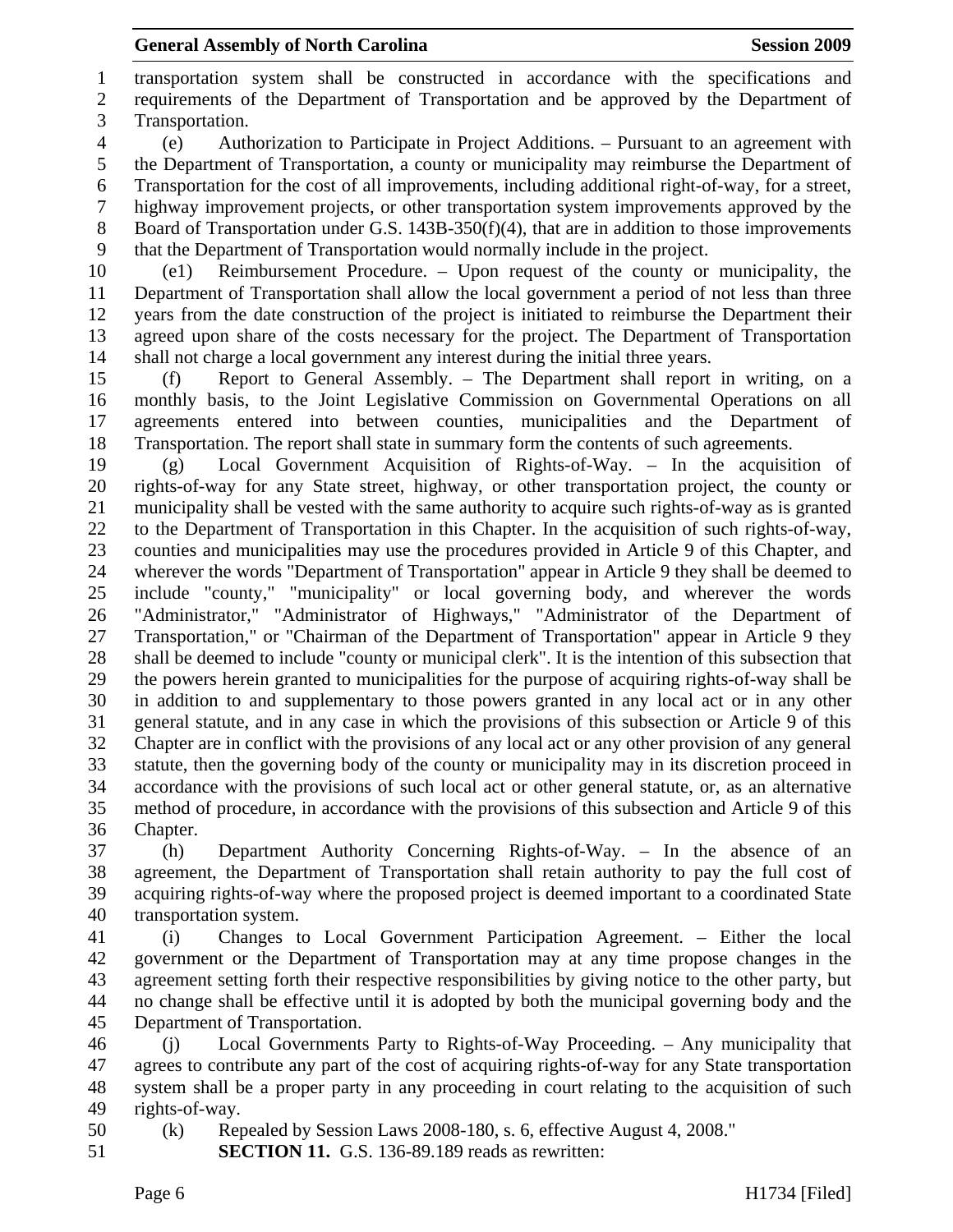1 transportation system shall be constructed in accordance with the specifications and 2 requirements of the Department of Transportation and be approved by the Department of 3 Transportation.

4 (e) Authorization to Participate in Project Additions. – Pursuant to an agreement with 5 the Department of Transportation, a county or municipality may reimburse the Department of 6 Transportation for the cost of all improvements, including additional right-of-way, for a street, 7 highway improvement projects, or other transportation system improvements approved by the 8 Board of Transportation under G.S. 143B-350(f)(4), that are in addition to those improvements 9 that the Department of Transportation would normally include in the project.

10 (e1) Reimbursement Procedure. – Upon request of the county or municipality, the 11 Department of Transportation shall allow the local government a period of not less than three 12 years from the date construction of the project is initiated to reimburse the Department their 13 agreed upon share of the costs necessary for the project. The Department of Transportation 14 shall not charge a local government any interest during the initial three years.

15 (f) Report to General Assembly. – The Department shall report in writing, on a 16 monthly basis, to the Joint Legislative Commission on Governmental Operations on all 17 agreements entered into between counties, municipalities and the Department of 18 Transportation. The report shall state in summary form the contents of such agreements.

19 (g) Local Government Acquisition of Rights-of-Way. – In the acquisition of 20 rights-of-way for any State street, highway, or other transportation project, the county or 21 municipality shall be vested with the same authority to acquire such rights-of-way as is granted 22 to the Department of Transportation in this Chapter. In the acquisition of such rights-of-way, 23 counties and municipalities may use the procedures provided in Article 9 of this Chapter, and 24 wherever the words "Department of Transportation" appear in Article 9 they shall be deemed to 25 include "county," "municipality" or local governing body, and wherever the words 26 "Administrator," "Administrator of Highways," "Administrator of the Department of 27 Transportation," or "Chairman of the Department of Transportation" appear in Article 9 they 28 shall be deemed to include "county or municipal clerk". It is the intention of this subsection that 29 the powers herein granted to municipalities for the purpose of acquiring rights-of-way shall be 30 in addition to and supplementary to those powers granted in any local act or in any other 31 general statute, and in any case in which the provisions of this subsection or Article 9 of this 32 Chapter are in conflict with the provisions of any local act or any other provision of any general 33 statute, then the governing body of the county or municipality may in its discretion proceed in 34 accordance with the provisions of such local act or other general statute, or, as an alternative 35 method of procedure, in accordance with the provisions of this subsection and Article 9 of this 36 Chapter.

37 (h) Department Authority Concerning Rights-of-Way. – In the absence of an 38 agreement, the Department of Transportation shall retain authority to pay the full cost of 39 acquiring rights-of-way where the proposed project is deemed important to a coordinated State 40 transportation system.

41 (i) Changes to Local Government Participation Agreement. – Either the local 42 government or the Department of Transportation may at any time propose changes in the 43 agreement setting forth their respective responsibilities by giving notice to the other party, but 44 no change shall be effective until it is adopted by both the municipal governing body and the 45 Department of Transportation.

46 (j) Local Governments Party to Rights-of-Way Proceeding. – Any municipality that 47 agrees to contribute any part of the cost of acquiring rights-of-way for any State transportation 48 system shall be a proper party in any proceeding in court relating to the acquisition of such 49 rights-of-way.

50 (k) Repealed by Session Laws 2008-180, s. 6, effective August 4, 2008."

51 **SECTION 11.** G.S. 136-89.189 reads as rewritten: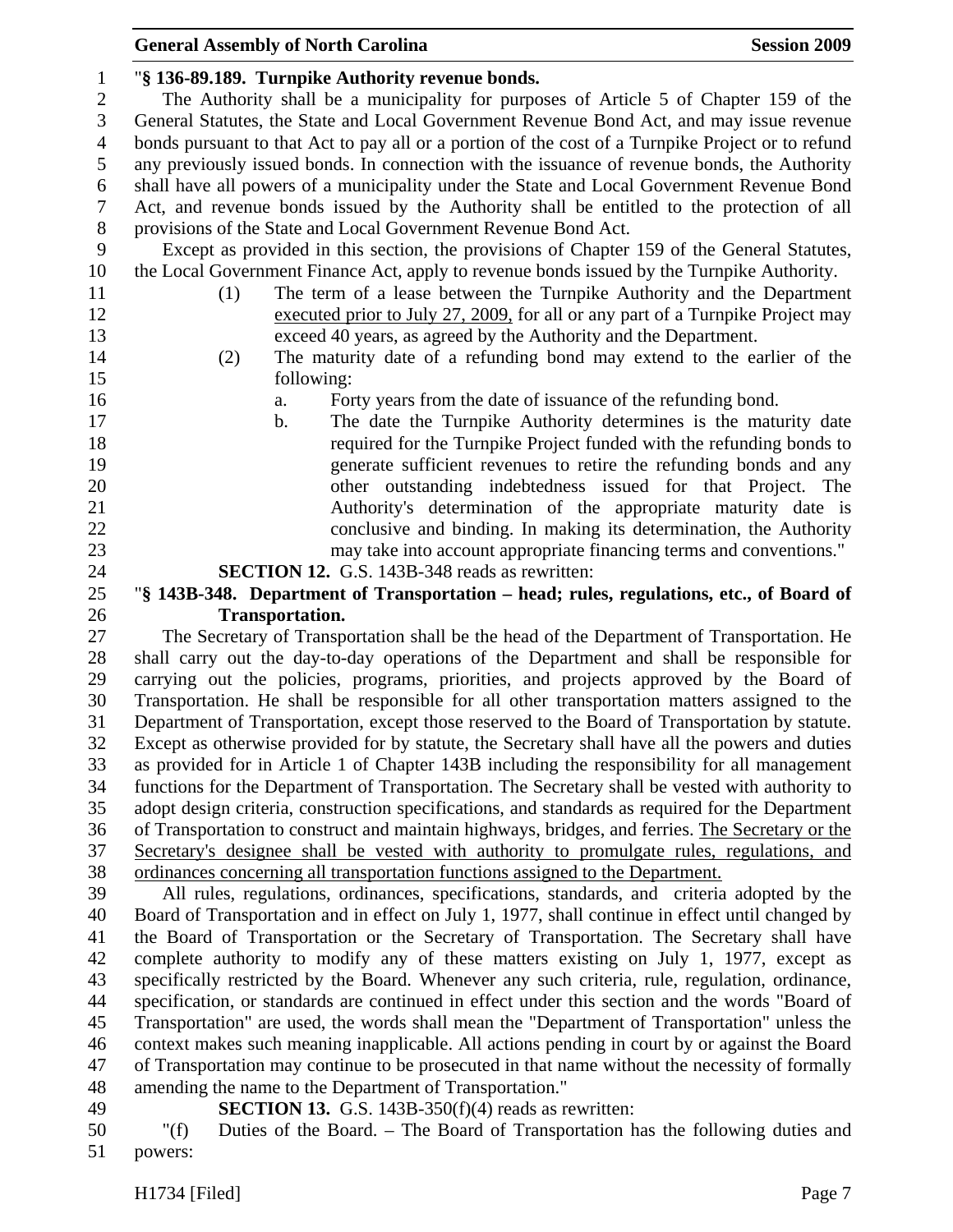| <b>General Assembly of North Carolina</b> |                                                                                                   |  |  |
|-------------------------------------------|---------------------------------------------------------------------------------------------------|--|--|
| $\mathbf{1}$                              | "§ 136-89.189. Turnpike Authority revenue bonds.                                                  |  |  |
| $\overline{c}$                            | The Authority shall be a municipality for purposes of Article 5 of Chapter 159 of the             |  |  |
| $\mathfrak{Z}$                            | General Statutes, the State and Local Government Revenue Bond Act, and may issue revenue          |  |  |
| $\overline{4}$                            | bonds pursuant to that Act to pay all or a portion of the cost of a Turnpike Project or to refund |  |  |
| 5                                         | any previously issued bonds. In connection with the issuance of revenue bonds, the Authority      |  |  |
| 6                                         | shall have all powers of a municipality under the State and Local Government Revenue Bond         |  |  |
| 7                                         | Act, and revenue bonds issued by the Authority shall be entitled to the protection of all         |  |  |
| $8\,$                                     | provisions of the State and Local Government Revenue Bond Act.                                    |  |  |
| 9                                         | Except as provided in this section, the provisions of Chapter 159 of the General Statutes,        |  |  |
| 10                                        | the Local Government Finance Act, apply to revenue bonds issued by the Turnpike Authority.        |  |  |
| 11                                        | The term of a lease between the Turnpike Authority and the Department<br>(1)                      |  |  |
| 12                                        | executed prior to July 27, 2009, for all or any part of a Turnpike Project may                    |  |  |
| 13                                        | exceed 40 years, as agreed by the Authority and the Department.                                   |  |  |
| 14                                        | The maturity date of a refunding bond may extend to the earlier of the<br>(2)                     |  |  |
| 15                                        | following:                                                                                        |  |  |
| 16                                        | Forty years from the date of issuance of the refunding bond.<br>a.                                |  |  |
| 17                                        | The date the Turnpike Authority determines is the maturity date<br>b.                             |  |  |
| 18                                        | required for the Turnpike Project funded with the refunding bonds to                              |  |  |
| 19                                        | generate sufficient revenues to retire the refunding bonds and any                                |  |  |
| 20                                        | other outstanding indebtedness issued for that Project. The                                       |  |  |
| 21                                        | Authority's determination of the appropriate maturity date is                                     |  |  |
| 22                                        | conclusive and binding. In making its determination, the Authority                                |  |  |
| 23                                        | may take into account appropriate financing terms and conventions."                               |  |  |
| 24                                        | <b>SECTION 12.</b> G.S. 143B-348 reads as rewritten:                                              |  |  |
| 25                                        | "§ 143B-348. Department of Transportation - head; rules, regulations, etc., of Board of           |  |  |
| 26                                        | <b>Transportation.</b>                                                                            |  |  |
| 27                                        | The Secretary of Transportation shall be the head of the Department of Transportation. He         |  |  |
| 28                                        | shall carry out the day-to-day operations of the Department and shall be responsible for          |  |  |
| 29                                        | carrying out the policies, programs, priorities, and projects approved by the Board of            |  |  |
| 30                                        | Transportation. He shall be responsible for all other transportation matters assigned to the      |  |  |

31 Department of Transportation, except those reserved to the Board of Transportation by statute. 32 Except as otherwise provided for by statute, the Secretary shall have all the powers and duties 33 as provided for in Article 1 of Chapter 143B including the responsibility for all management 34 functions for the Department of Transportation. The Secretary shall be vested with authority to 35 adopt design criteria, construction specifications, and standards as required for the Department 36 of Transportation to construct and maintain highways, bridges, and ferries. The Secretary or the 37 Secretary's designee shall be vested with authority to promulgate rules, regulations, and 38 ordinances concerning all transportation functions assigned to the Department.

39 All rules, regulations, ordinances, specifications, standards, and criteria adopted by the 40 Board of Transportation and in effect on July 1, 1977, shall continue in effect until changed by 41 the Board of Transportation or the Secretary of Transportation. The Secretary shall have 42 complete authority to modify any of these matters existing on July 1, 1977, except as 43 specifically restricted by the Board. Whenever any such criteria, rule, regulation, ordinance, 44 specification, or standards are continued in effect under this section and the words "Board of 45 Transportation" are used, the words shall mean the "Department of Transportation" unless the 46 context makes such meaning inapplicable. All actions pending in court by or against the Board 47 of Transportation may continue to be prosecuted in that name without the necessity of formally 48 amending the name to the Department of Transportation."

49 **SECTION 13.** G.S. 143B-350(f)(4) reads as rewritten:

50 "(f) Duties of the Board. – The Board of Transportation has the following duties and 51 powers: